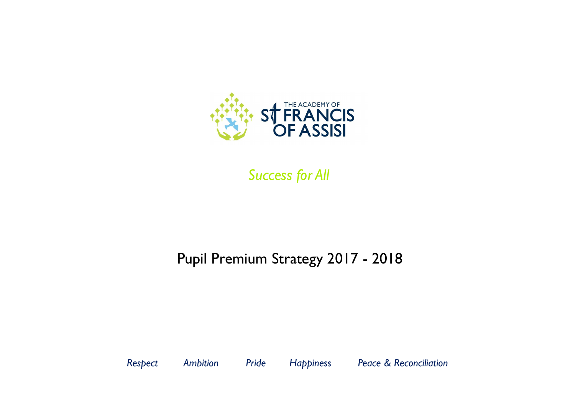

*Success for All*

*Respect Ambition Pride Happiness Peace & Reconciliation*

# Pupil Premium Strategy 2017 - 2018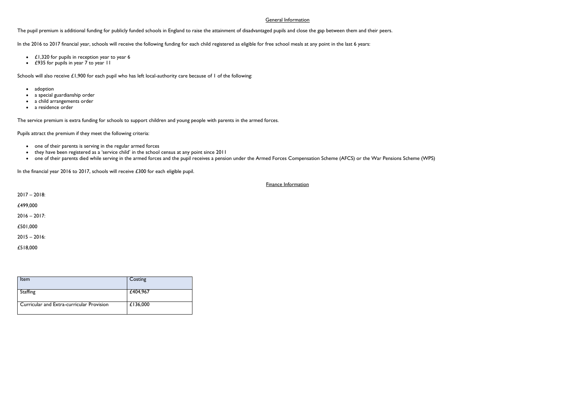### General Information

The [pupil premium](https://www.gov.uk/government/policies/raising-the-achievement-of-disadvantaged-children/supporting-pages/pupil-premium) is additional funding for publicly funded schools in England to raise the attainment of disadvantaged pupils and close the gap between them and their peers.

- $\cdot$  £1,320 for pupils in reception year to year 6
- £935 for pupils in year 7 to year 11

Schools will also receive £1,900 for each pupil who has left local-authority care because of 1 of the following:

- adoption
- a special guardianship order
- a child arrangements order
- a residence order

In the 2016 to 2017 financial year, schools will receive the following funding for each child registered as eligible for free school meals at any point in the last 6 years:

The service premium is extra funding for schools to support children and young people with parents in the armed forces.

Pupils attract the premium if they meet the following criteria:

- one of their parents is serving in the regular armed forces
- they have been registered as a 'service child' in the [school census](https://www.gov.uk/guidance/school-census) at any point since 2011
- one of their parents died while serving in the armed forces and the pupil receives a pension under the Armed Forces Compensation Scheme (AFCS) or the War Pensions Scheme (WPS)

In the financial year 2016 to 2017, schools will receive £300 for each eligible pupil.

Finance Information

2017 – 2018:

£499,000

 $2016 - 2017$ :

£501,000

2015 – 2016:

£518,000

| Item                                             | Costing  |
|--------------------------------------------------|----------|
| Staffing                                         | £404,967 |
| <b>Curricular and Extra-curricular Provision</b> | £136,000 |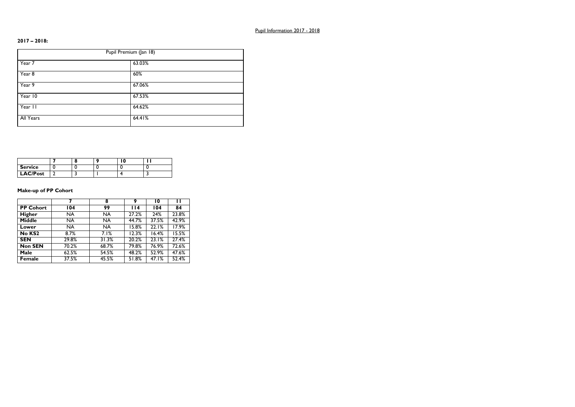# **2017 – 2018:**

| Pupil Premium (Jan 18) |        |  |  |
|------------------------|--------|--|--|
| Year 7                 | 63.03% |  |  |
| Year 8                 | 60%    |  |  |
| Year 9                 | 67.06% |  |  |
| Year 10                | 67.53% |  |  |
| Year II                | 64.62% |  |  |
| All Years              | 64.41% |  |  |

| <b>Service</b>  |  |  |  |
|-----------------|--|--|--|
| <b>LAC/Post</b> |  |  |  |

# **Make-up of PP Cohort**

|                  |                    | 8         | 9     | 10    | п     |
|------------------|--------------------|-----------|-------|-------|-------|
| <b>PP Cohort</b> | 104                | 99        | 114   | 104   | 84    |
| <b>Higher</b>    | <b>NA</b>          | <b>NA</b> | 27.2% | 24%   | 23.8% |
| <b>Middle</b>    | <b>NA</b>          | <b>NA</b> | 44.7% | 37.5% | 42.9% |
| Lower            | <b>NA</b>          | <b>NA</b> | 15.8% | 22.1% | 17.9% |
| No KS2           | $\overline{8.7\%}$ | 7.1%      | 12.3% | 16.4% | 15.5% |
| <b>SEN</b>       | 29.8%              | 31.3%     | 20.2% | 23.1% | 27.4% |
| <b>Non SEN</b>   | 70.2%              | 68.7%     | 79.8% | 76.9% | 72.6% |
| Male             | 62.5%              | 54.5%     | 48.2% | 52.9% | 47.6% |
| <b>Female</b>    | 37.5%              | 45.5%     | 51.8% | 47.I% | 52.4% |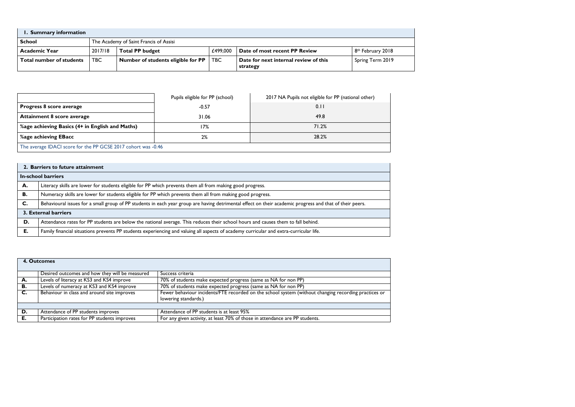| Summary information             |            |                                                                                                      |            |                                                   |                  |  |
|---------------------------------|------------|------------------------------------------------------------------------------------------------------|------------|---------------------------------------------------|------------------|--|
| <b>School</b>                   |            | The Academy of Saint Francis of Assisi                                                               |            |                                                   |                  |  |
| <b>Academic Year</b>            | 2017/18    | <b>Total PP budget</b><br>£499,000<br>Date of most recent PP Review<br>8 <sup>th</sup> February 2018 |            |                                                   |                  |  |
| <b>Total number of students</b> | <b>TBC</b> | Number of students eligible for PP                                                                   | <b>TBC</b> | Date for next internal review of this<br>strategy | Spring Term 2019 |  |

|                                                               | Pupils eligible for PP (school) | 2017 NA Pupils not eligible for PP (national other) |  |  |
|---------------------------------------------------------------|---------------------------------|-----------------------------------------------------|--|--|
| Progress 8 score average                                      | $-0.57$                         | 0.11                                                |  |  |
| Attainment 8 score average                                    | 31.06                           | 49.8                                                |  |  |
| %age achieving Basics (4+ in English and Maths)               | 7%                              | 71.2%                                               |  |  |
| Sage achieving EBacc                                          | 2%                              | 28.2%                                               |  |  |
| The average IDACI score for the PP GCSE 2017 cohort was -0.46 |                                 |                                                     |  |  |

|    | 2. Barriers to future attainment                                                                                                                         |  |  |  |  |
|----|----------------------------------------------------------------------------------------------------------------------------------------------------------|--|--|--|--|
|    | <b>In-school barriers</b>                                                                                                                                |  |  |  |  |
| А. | Literacy skills are lower for students eligible for PP which prevents them all from making good progress.                                                |  |  |  |  |
| В. | Numeracy skills are lower for students eligible for PP which prevents them all from making good progress.                                                |  |  |  |  |
| C. | Behavioural issues for a small group of PP students in each year group are having detrimental effect on their academic progress and that of their peers. |  |  |  |  |
|    | 3. External barriers                                                                                                                                     |  |  |  |  |
| D. | Attendance rates for PP students are below the national average. This reduces their school hours and causes them to fall behind.                         |  |  |  |  |
| Е. | Family financial situations prevents PP students experiencing and valuing all aspects of academy curricular and extra-curricular life.                   |  |  |  |  |

|    | 4. Outcomes                                    |                                                                                                      |
|----|------------------------------------------------|------------------------------------------------------------------------------------------------------|
|    | Desired outcomes and how they will be measured | Success criteria                                                                                     |
| A. | Levels of literacy at KS3 and KS4 improve      | 70% of students make expected progress (same as NA for non PP)                                       |
| В. | Levels of numeracy at KS3 and KS4 improve      | 70% of students make expected progress (same as NA for non PP)                                       |
| C. | Behaviour in class and around site improves    | Fewer behaviour incidents/FTE recorded on the school system (without changing recording practices or |
|    |                                                | lowering standards.)                                                                                 |
|    |                                                |                                                                                                      |
| D. | Attendance of PP students improves             | Attendance of PP students is at least 95%                                                            |
| Е. | Participation rates for PP students improves   | For any given activity, at least 70% of those in attendance are PP students.                         |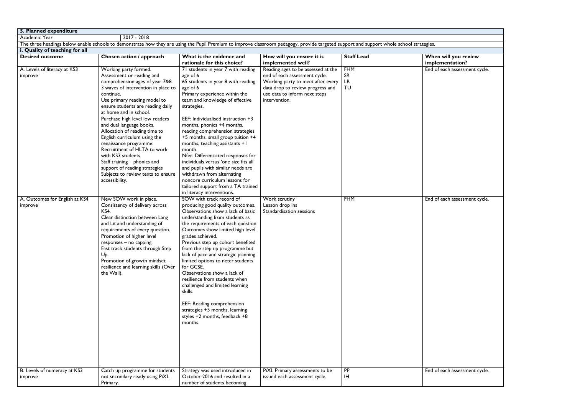| 5. Planned expenditure         |                                                                                                                                                                                          |                                                                 |                                                |                   |                                         |
|--------------------------------|------------------------------------------------------------------------------------------------------------------------------------------------------------------------------------------|-----------------------------------------------------------------|------------------------------------------------|-------------------|-----------------------------------------|
| Academic Year                  | $2017 - 2018$                                                                                                                                                                            |                                                                 |                                                |                   |                                         |
|                                | The three headings below enable schools to demonstrate how they are using the Pupil Premium to improve classroom pedagogy, provide targeted support and support whole school strategies. |                                                                 |                                                |                   |                                         |
| i. Quality of teaching for all |                                                                                                                                                                                          |                                                                 |                                                |                   |                                         |
| <b>Desired outcome</b>         | Chosen action / approach                                                                                                                                                                 | What is the evidence and<br>rationale for this choice?          | How will you ensure it is<br>implemented well? | <b>Staff Lead</b> | When will you review<br>implementation? |
| A. Levels of literacy at KS3   | Working party formed.                                                                                                                                                                    | 71 students in year 7 with reading                              | Reading ages to be assessed at the             | <b>FHM</b>        | End of each assessment cycle.           |
| improve                        | Assessment or reading and                                                                                                                                                                | age of 6                                                        | end of each assessment cycle.                  | <b>SR</b>         |                                         |
|                                | comprehension ages of year 7&8.                                                                                                                                                          | 65 students in year 8 with reading                              | Working party to meet after every              | <b>LR</b>         |                                         |
|                                | 3 waves of intervention in place to                                                                                                                                                      | age of 6                                                        | data drop to review progress and               | <b>TU</b>         |                                         |
|                                | continue.                                                                                                                                                                                | Primary experience within the                                   | use data to inform next steps                  |                   |                                         |
|                                | Use primary reading model to                                                                                                                                                             | team and knowledge of effective                                 | intervention.                                  |                   |                                         |
|                                | ensure students are reading daily                                                                                                                                                        | strategies.                                                     |                                                |                   |                                         |
|                                | at home and in school.                                                                                                                                                                   |                                                                 |                                                |                   |                                         |
|                                | Purchase high level low readers                                                                                                                                                          | EEF: Individualised instruction +3                              |                                                |                   |                                         |
|                                | and dual language books.                                                                                                                                                                 | months, phonics +4 months,                                      |                                                |                   |                                         |
|                                | Allocation of reading time to                                                                                                                                                            | reading comprehension strategies                                |                                                |                   |                                         |
|                                | English curriculum using the                                                                                                                                                             | +5 months, small group tuition +4                               |                                                |                   |                                         |
|                                | renaissance programme.                                                                                                                                                                   | months, teaching assistants +1                                  |                                                |                   |                                         |
|                                | Recruitment of HLTA to work                                                                                                                                                              | month.                                                          |                                                |                   |                                         |
|                                | with KS3 students.                                                                                                                                                                       | Nfer: Differentiated responses for                              |                                                |                   |                                         |
|                                | Staff training - phonics and                                                                                                                                                             | individuals versus 'one size fits all'                          |                                                |                   |                                         |
|                                | support of reading strategies                                                                                                                                                            | and pupils with similar needs are<br>withdrawn from alternating |                                                |                   |                                         |
|                                | Subjects to review texts to ensure                                                                                                                                                       | noncore curriculum lessons for                                  |                                                |                   |                                         |
|                                | accessibility.                                                                                                                                                                           | tailored support from a TA trained                              |                                                |                   |                                         |
|                                |                                                                                                                                                                                          | in literacy interventions.                                      |                                                |                   |                                         |
| A. Outcomes for English at KS4 | New SOW work in place.                                                                                                                                                                   | SOW with track record of                                        | Work scrutiny                                  | <b>FHM</b>        | End of each assessment cycle.           |
| improve                        | Consistency of delivery across                                                                                                                                                           | producing good quality outcomes.                                | Lesson drop ins                                |                   |                                         |
|                                | <b>KS4.</b>                                                                                                                                                                              | Observations show a lack of basic                               | Standardisation sessions                       |                   |                                         |
|                                | Clear distinction between Lang                                                                                                                                                           | understanding from students as                                  |                                                |                   |                                         |
|                                | and Lit and understanding of                                                                                                                                                             | the requirements of each question.                              |                                                |                   |                                         |
|                                | requirements of every question.                                                                                                                                                          | Outcomes show limited high level                                |                                                |                   |                                         |
|                                | Promotion of higher level                                                                                                                                                                | grades achieved.                                                |                                                |                   |                                         |
|                                | responses – no capping.                                                                                                                                                                  | Previous step up cohort benefited                               |                                                |                   |                                         |
|                                | Fast track students through Step                                                                                                                                                         | from the step up programme but                                  |                                                |                   |                                         |
|                                | Up.                                                                                                                                                                                      | lack of pace and strategic planning                             |                                                |                   |                                         |
|                                | Promotion of growth mindset -                                                                                                                                                            | limited options to neter students                               |                                                |                   |                                         |
|                                | resilience and learning skills (Over                                                                                                                                                     | for GCSE.                                                       |                                                |                   |                                         |
|                                | the Wall).                                                                                                                                                                               | Observations show a lack of                                     |                                                |                   |                                         |
|                                |                                                                                                                                                                                          | resilience from students when                                   |                                                |                   |                                         |
|                                |                                                                                                                                                                                          | challenged and limited learning                                 |                                                |                   |                                         |
|                                |                                                                                                                                                                                          | skills.                                                         |                                                |                   |                                         |
|                                |                                                                                                                                                                                          |                                                                 |                                                |                   |                                         |
|                                |                                                                                                                                                                                          | EEF: Reading comprehension<br>strategies +5 months, learning    |                                                |                   |                                         |
|                                |                                                                                                                                                                                          | styles +2 months, feedback +8                                   |                                                |                   |                                         |
|                                |                                                                                                                                                                                          | months.                                                         |                                                |                   |                                         |
|                                |                                                                                                                                                                                          |                                                                 |                                                |                   |                                         |
|                                |                                                                                                                                                                                          |                                                                 |                                                |                   |                                         |
|                                |                                                                                                                                                                                          |                                                                 |                                                |                   |                                         |
|                                |                                                                                                                                                                                          |                                                                 |                                                |                   |                                         |
|                                |                                                                                                                                                                                          |                                                                 |                                                |                   |                                         |
|                                |                                                                                                                                                                                          |                                                                 |                                                |                   |                                         |
|                                |                                                                                                                                                                                          |                                                                 |                                                |                   |                                         |
| B. Levels of numeracy at KS3   | Catch up programme for students                                                                                                                                                          | Strategy was used introduced in                                 | PiXL Primary assessments to be                 | <b>PP</b>         | End of each assessment cycle.           |
| improve                        | not secondary ready using PiXL                                                                                                                                                           | October 2016 and resulted in a                                  | issued each assessment cycle.                  | IH                |                                         |
|                                | Primary.                                                                                                                                                                                 | number of students becoming                                     |                                                |                   |                                         |

| egies.                                           |
|--------------------------------------------------|
|                                                  |
| When will you review                             |
|                                                  |
|                                                  |
| implementation?<br>End of each assessment cycle. |
|                                                  |
|                                                  |
|                                                  |
|                                                  |
|                                                  |
|                                                  |
|                                                  |
|                                                  |
|                                                  |
|                                                  |
|                                                  |
|                                                  |
|                                                  |
|                                                  |
|                                                  |
|                                                  |
|                                                  |
|                                                  |
|                                                  |
|                                                  |
|                                                  |
|                                                  |
|                                                  |
| End of each assessment cycle.                    |
|                                                  |
|                                                  |
|                                                  |
|                                                  |
|                                                  |
|                                                  |
|                                                  |
|                                                  |
|                                                  |
|                                                  |
|                                                  |
|                                                  |
|                                                  |
|                                                  |
|                                                  |
|                                                  |
|                                                  |
|                                                  |
|                                                  |
|                                                  |
|                                                  |
|                                                  |
|                                                  |
|                                                  |
|                                                  |
|                                                  |
|                                                  |
|                                                  |
|                                                  |
|                                                  |
|                                                  |
| End of each assessment cycle.                    |
|                                                  |
|                                                  |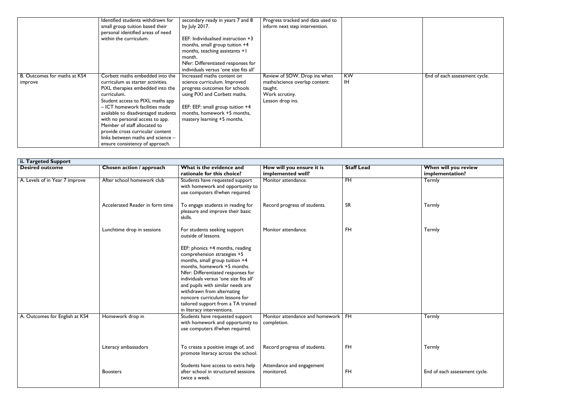|                                         | Identified students withdrawn for<br>small group tuition based their<br>personal identified areas of need<br>within the curriculum.                                                                                                                                                                                                                                                                                 | secondary ready in years 7 and 8<br>by July 2017.<br>EEF: Individualised instruction +3<br>months, small group tuition +4                                                                                                      | Progress tracked and data used to<br>inform next step intervention.                                            |                        |     |
|-----------------------------------------|---------------------------------------------------------------------------------------------------------------------------------------------------------------------------------------------------------------------------------------------------------------------------------------------------------------------------------------------------------------------------------------------------------------------|--------------------------------------------------------------------------------------------------------------------------------------------------------------------------------------------------------------------------------|----------------------------------------------------------------------------------------------------------------|------------------------|-----|
|                                         |                                                                                                                                                                                                                                                                                                                                                                                                                     | months, teaching assistants +1<br>month.<br>Nfer: Differentiated responses for<br>individuals versus 'one size fits all'                                                                                                       |                                                                                                                |                        |     |
| B. Outcomes for maths at KS4<br>improve | Corbett maths embedded into the<br>curriculum as starter activities.<br>PiXL therapies embedded into the<br>curriculum.<br>Student access to PIXL maths app<br>- ICT homework facilities made<br>available to disadvantaged students<br>with no personal access to app.<br>Member of staff allocated to<br>provide cross curricular content<br>links between maths and science -<br>ensure consistency of approach. | Increased maths content on<br>science curriculum. Improved<br>progress outcomes for schools<br>using PiXI and Corbett maths.<br>EEF: EEF: small group tuition +4<br>months, homework +5 months,<br>mastery learning +5 months. | Review of SOW. Drop ins when<br>maths/science overlap content<br>taught.<br>Work scrutiny.<br>Lesson drop ins. | <b>KW</b><br><b>IH</b> | End |

|  | End of each assessment cycle. |  |
|--|-------------------------------|--|

| ii. Targeted Support           |                                 |                                                                                                                                                                                                                                                                                                                                                                                          |                                                     |                   |                                         |
|--------------------------------|---------------------------------|------------------------------------------------------------------------------------------------------------------------------------------------------------------------------------------------------------------------------------------------------------------------------------------------------------------------------------------------------------------------------------------|-----------------------------------------------------|-------------------|-----------------------------------------|
| <b>Desired outcome</b>         | Chosen action / approach        | What is the evidence and<br>rationale for this choice?                                                                                                                                                                                                                                                                                                                                   | How will you ensure it is<br>implemented well?      | <b>Staff Lead</b> | When will you review<br>implementation? |
| A. Levels of in Year 7 improve | After school homework club      | Students have requested support<br>with homework and opportunity to<br>use computers if/when required.                                                                                                                                                                                                                                                                                   | Monitor attendance.                                 | $\overline{H}$    | <b>Termly</b>                           |
|                                | Accelerated Reader in form time | To engage students in reading for<br>pleasure and improve their basic<br>skills.                                                                                                                                                                                                                                                                                                         | Record progress of students.                        | <b>SR</b>         | Termly                                  |
|                                | Lunchtime drop in sessions      | For students seeking support<br>outside of lessons.                                                                                                                                                                                                                                                                                                                                      | Monitor attendance.                                 | <b>FH</b>         | Termly                                  |
|                                |                                 | EEF: phonics +4 months, reading<br>comprehension strategies +5<br>months, small group tuition +4<br>months, homework +5 months.<br>Nfer: Differentiated responses for<br>individuals versus 'one size fits all'<br>and pupils with similar needs are<br>withdrawn from alternating<br>noncore curriculum lessons for<br>tailored support from a TA trained<br>in literacy interventions. |                                                     |                   |                                         |
| A. Outcomes for English at KS4 | Homework drop in                | Students have requested support<br>with homework and opportunity to<br>use computers if/when required.                                                                                                                                                                                                                                                                                   | Monitor attendance and homework   FH<br>completion. |                   | Termly                                  |
|                                | Literacy ambassadors            | To create a positive image of, and<br>promote literacy across the school.                                                                                                                                                                                                                                                                                                                | Record progress of students.                        | <b>FH</b>         | Termly                                  |
|                                | <b>Boosters</b>                 | Students have access to extra help<br>after school in structured sessions<br>twice a week.                                                                                                                                                                                                                                                                                               | Attendance and engagement<br>monitored.             | <b>FH</b>         | End of each assessment c                |

| When will you review          |
|-------------------------------|
| implementation?               |
| Termly                        |
|                               |
|                               |
|                               |
| Termly                        |
|                               |
|                               |
|                               |
| Termly                        |
|                               |
|                               |
|                               |
|                               |
|                               |
|                               |
|                               |
|                               |
|                               |
|                               |
|                               |
|                               |
| Termly                        |
|                               |
|                               |
|                               |
|                               |
| Termly                        |
|                               |
|                               |
|                               |
| End of each assessment cycle. |
|                               |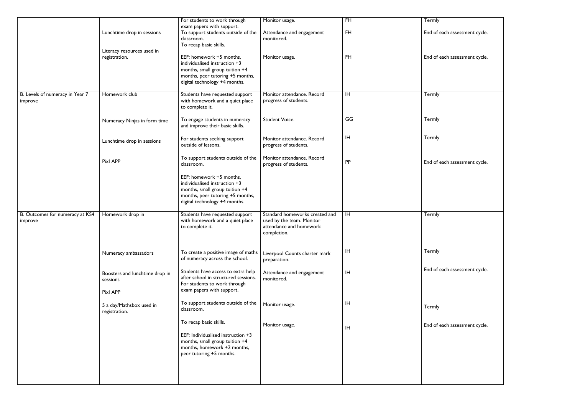|                                            |                                                        | For students to work through                                                                                                                                     | Monitor usage.                                                                                        | $\overline{H}$ | Termly                        |
|--------------------------------------------|--------------------------------------------------------|------------------------------------------------------------------------------------------------------------------------------------------------------------------|-------------------------------------------------------------------------------------------------------|----------------|-------------------------------|
|                                            | Lunchtime drop in sessions                             | exam papers with support.<br>To support students outside of the<br>classroom.<br>To recap basic skills.                                                          | Attendance and engagement<br>monitored.                                                               | <b>FH</b>      | End of each assessment cycle. |
|                                            | Literacy resources used in<br>registration.            | EEF: homework +5 months,<br>individualised instruction +3<br>months, small group tuition +4<br>months, peer tutoring +5 months,<br>digital technology +4 months. | Monitor usage.                                                                                        | <b>FH</b>      | End of each assessment cycle. |
| B. Levels of numeracy in Year 7<br>improve | Homework club                                          | Students have requested support<br>with homework and a quiet place<br>to complete it.                                                                            | Monitor attendance. Record<br>progress of students.                                                   | IH             | Termly                        |
|                                            | Numeracy Ninjas in form time                           | To engage students in numeracy<br>and improve their basic skills.                                                                                                | <b>Student Voice.</b>                                                                                 | GG             | Termly                        |
|                                            | Lunchtime drop in sessions                             | For students seeking support<br>outside of lessons.                                                                                                              | Monitor attendance. Record<br>progress of students.                                                   | ΙH             | Termly                        |
|                                            | Pixl APP                                               | To support students outside of the<br>classroom.                                                                                                                 | Monitor attendance. Record<br>progress of students.                                                   | <b>PP</b>      | End of each assessment cycle. |
|                                            |                                                        | EEF: homework +5 months,<br>individualised instruction +3<br>months, small group tuition +4<br>months, peer tutoring +5 months,<br>digital technology +4 months. |                                                                                                       |                |                               |
| B. Outcomes for numeracy at KS4<br>improve | Homework drop in                                       | Students have requested support<br>with homework and a quiet place<br>to complete it.                                                                            | Standard homeworks created and<br>used by the team. Monitor<br>attendance and homework<br>completion. | $\overline{H}$ | Termly                        |
|                                            | Numeracy ambassadors                                   | To create a positive image of maths<br>of numeracy across the school.                                                                                            | Liverpool Counts charter mark<br>preparation.                                                         | ΙH             | Termly                        |
|                                            | Boosters and lunchtime drop in<br>sessions<br>Pixl APP | Students have access to extra help<br>after school in structured sessions.<br>For students to work through<br>exam papers with support.                          | Attendance and engagement<br>monitored.                                                               | ΙH             | End of each assessment cycle. |
|                                            | 5 a day/Mathsbox used in<br>registration.              | To support students outside of the<br>classroom.                                                                                                                 | Monitor usage.                                                                                        | ΙH             | Termly                        |
|                                            |                                                        | To recap basic skills.<br>EEF: Individualised instruction +3<br>months, small group tuition +4<br>months, homework +2 months,<br>peer tutoring +5 months.        | Monitor usage.                                                                                        | <b>IH</b>      | End of each assessment cycle. |
|                                            |                                                        |                                                                                                                                                                  |                                                                                                       |                |                               |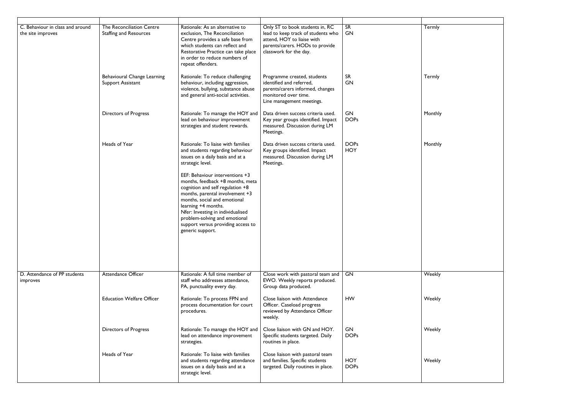| C. Behaviour in class and around<br>the site improves | <b>The Reconciliation Centre</b><br><b>Staffing and Resources</b> | Rationale: As an alternative to<br>exclusion, The Reconciliation<br>Centre provides a safe base from<br>which students can reflect and<br>Restorative Practice can take place<br>in order to reduce numbers of<br>repeat offenders.                                                                                                                                                                                                                                 | Only ST to book students in, RC<br>lead to keep track of students who<br>attend, HOY to liaise with<br>parents/carers. HODs to provide<br>classwork for the day. | SR<br>GN                  | Termly  |
|-------------------------------------------------------|-------------------------------------------------------------------|---------------------------------------------------------------------------------------------------------------------------------------------------------------------------------------------------------------------------------------------------------------------------------------------------------------------------------------------------------------------------------------------------------------------------------------------------------------------|------------------------------------------------------------------------------------------------------------------------------------------------------------------|---------------------------|---------|
|                                                       | <b>Behavioural Change Learning</b><br>Support Assistant           | Rationale: To reduce challenging<br>behaviour, including aggression,<br>violence, bullying, substance abuse<br>and general anti-social activities.                                                                                                                                                                                                                                                                                                                  | Programme created, students<br>identified and referred,<br>parents/carers informed, changes<br>monitored over time.<br>Line management meetings.                 | <b>SR</b><br>GN           | Termly  |
|                                                       | <b>Directors of Progress</b>                                      | Rationale: To manage the HOY and<br>lead on behaviour improvement<br>strategies and student rewards.                                                                                                                                                                                                                                                                                                                                                                | Data driven success criteria used.<br>Key year groups identified. Impact<br>measured. Discussion during LM<br>Meetings.                                          | GN<br><b>DOPs</b>         | Monthly |
|                                                       | Heads of Year                                                     | Rationale: To liaise with families<br>and students regarding behaviour<br>issues on a daily basis and at a<br>strategic level.<br>EEF: Behaviour interventions +3<br>months, feedback +8 months, meta<br>cognition and self regulation +8<br>months, parental involvement +3<br>months, social and emotional<br>learning +4 months.<br>Nfer: Investing in individualised<br>problem-solving and emotional<br>support versus providing access to<br>generic support. | Data driven success criteria used.<br>Key groups identified. Impact<br>measured. Discussion during LM<br>Meetings.                                               | <b>DOPs</b><br><b>HOY</b> | Monthly |
| D. Attendance of PP students<br>improves              | <b>Attendance Officer</b>                                         | Rationale: A full time member of<br>staff who addresses attendance,<br>PA, punctuality every day.                                                                                                                                                                                                                                                                                                                                                                   | Close work with pastoral team and<br>EWO. Weekly reports produced.<br>Group data produced.                                                                       | <b>GN</b>                 | Weekly  |
|                                                       | <b>Education Welfare Officer</b>                                  | Rationale: To process FPN and<br>process documentation for court<br>procedures.                                                                                                                                                                                                                                                                                                                                                                                     | Close liaison with Attendance<br>Officer. Caseload progress<br>reviewed by Attendance Officer<br>weekly.                                                         | <b>HW</b>                 | Weekly  |
|                                                       | <b>Directors of Progress</b>                                      | Rationale: To manage the HOY and<br>lead on attendance improvement<br>strategies.                                                                                                                                                                                                                                                                                                                                                                                   | Close liaison with GN and HOY.<br>Specific students targeted. Daily<br>routines in place.                                                                        | GN<br><b>DOPs</b>         | Weekly  |
|                                                       | Heads of Year                                                     | Rationale: To liaise with families<br>and students regarding attendance<br>issues on a daily basis and at a<br>strategic level.                                                                                                                                                                                                                                                                                                                                     | Close liaison with pastoral team<br>and families. Specific students<br>targeted. Daily routines in place.                                                        | <b>HOY</b><br><b>DOPs</b> | Weekly  |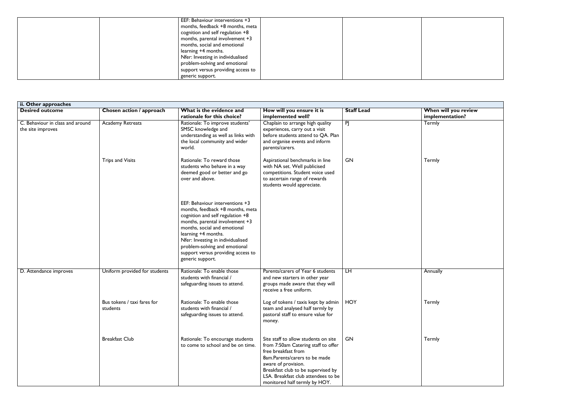| EEF: Behaviour interventions +3    |  |
|------------------------------------|--|
| months, feedback +8 months, meta   |  |
| cognition and self regulation +8   |  |
| months, parental involvement $+3$  |  |
| months, social and emotional       |  |
| learning +4 months.                |  |
| Nfer: Investing in individualised  |  |
| problem-solving and emotional      |  |
| support versus providing access to |  |
| generic support.                   |  |

| When will you review<br>implementation? |
|-----------------------------------------|
| Termly                                  |
|                                         |
| Termly                                  |
|                                         |
|                                         |
|                                         |
|                                         |
|                                         |
| Annually                                |
| Termly                                  |
|                                         |
| Termly                                  |
|                                         |
|                                         |

| ii. Other approaches                                  |                                         |                                                                                                                                                                                                                                                                                                                                   |                                                                                                                                                                                                                                                                          |                   |                                         |
|-------------------------------------------------------|-----------------------------------------|-----------------------------------------------------------------------------------------------------------------------------------------------------------------------------------------------------------------------------------------------------------------------------------------------------------------------------------|--------------------------------------------------------------------------------------------------------------------------------------------------------------------------------------------------------------------------------------------------------------------------|-------------------|-----------------------------------------|
| <b>Desired outcome</b>                                | Chosen action / approach                | What is the evidence and<br>rationale for this choice?                                                                                                                                                                                                                                                                            | How will you ensure it is<br>implemented well?                                                                                                                                                                                                                           | <b>Staff Lead</b> | When will you review<br>implementation? |
| C. Behaviour in class and around<br>the site improves | <b>Academy Retreats</b>                 | Rationale: To improve students'<br>SMSC knowledge and<br>understanding as well as links with<br>the local community and wider<br>world.                                                                                                                                                                                           | Chaplain to arrange high quality<br>experiences, carry out a visit<br>before students attend to QA. Plan<br>and organise events and inform<br>parents/carers.                                                                                                            | PJ                | Termly                                  |
|                                                       | <b>Trips and Visits</b>                 | Rationale: To reward those<br>students who behave in a way<br>deemed good or better and go<br>over and above.                                                                                                                                                                                                                     | Aspirational benchmarks in line<br>with NA set. Well publicised<br>competitions. Student voice used<br>to ascertain range of rewards<br>students would appreciate.                                                                                                       | <b>GN</b>         | Termly                                  |
|                                                       |                                         | EEF: Behaviour interventions +3<br>months, feedback +8 months, meta<br>cognition and self regulation +8<br>months, parental involvement +3<br>months, social and emotional<br>learning +4 months.<br>Nfer: Investing in individualised<br>problem-solving and emotional<br>support versus providing access to<br>generic support. |                                                                                                                                                                                                                                                                          |                   |                                         |
| D. Attendance improves                                | Uniform provided for students           | Rationale: To enable those<br>students with financial /<br>safeguarding issues to attend.                                                                                                                                                                                                                                         | Parents/carers of Year 6 students<br>and new starters in other year<br>groups made aware that they will<br>receive a free uniform.                                                                                                                                       | H                 | Annually                                |
|                                                       | Bus tokens / taxi fares for<br>students | Rationale: To enable those<br>students with financial /<br>safeguarding issues to attend.                                                                                                                                                                                                                                         | Log of tokens / taxis kept by admin<br>team and analysed half termly by<br>pastoral staff to ensure value for<br>money.                                                                                                                                                  | <b>HOY</b>        | Termly                                  |
|                                                       | <b>Breakfast Club</b>                   | Rationale: To encourage students<br>to come to school and be on time.                                                                                                                                                                                                                                                             | Site staff to allow students on site<br>from 7:50am Catering staff to offer<br>free breakfast from<br>8am.Parents/carers to be made<br>aware of provision.<br>Breakfast club to be supervised by<br>LSA. Breakfast club attendees to be<br>monitored half termly by HOY. | <b>GN</b>         | Termly                                  |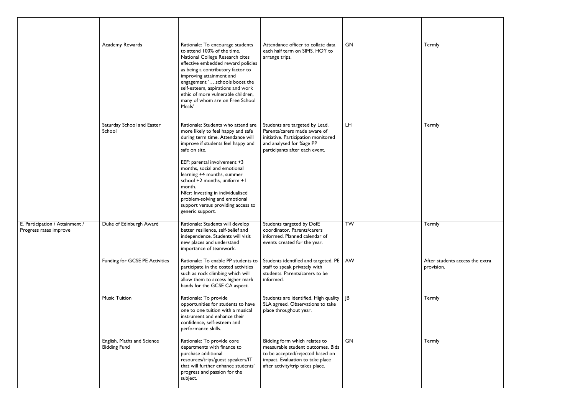|                                                           | Academy Rewards                                   | Rationale: To encourage students<br>to attend 100% of the time.<br>National College Research cites<br>effective embedded reward policies<br>as being a contributory factor to<br>improving attainment and<br>engagement 'schools boost the<br>self-esteem, aspirations and work<br>ethic of more vulnerable children,<br>many of whom are on Free School<br>Meals' | Attendance officer to collate data<br>each half term on SIMS. HOY to<br>arrange trips.                                                                                         | GN        | Termly               |
|-----------------------------------------------------------|---------------------------------------------------|--------------------------------------------------------------------------------------------------------------------------------------------------------------------------------------------------------------------------------------------------------------------------------------------------------------------------------------------------------------------|--------------------------------------------------------------------------------------------------------------------------------------------------------------------------------|-----------|----------------------|
|                                                           | Saturday School and Easter<br>School              | Rationale: Students who attend are<br>more likely to feel happy and safe<br>during term time. Attendance will<br>improve if students feel happy and<br>safe on site.                                                                                                                                                                                               | Students are targeted by Lead.<br>Parents/carers made aware of<br>initiative. Participation monitored<br>and analysed for %age PP<br>participants after each event.            | <b>LH</b> | Termly               |
|                                                           |                                                   | EEF: parental involvement +3<br>months, social and emotional<br>learning +4 months, summer<br>school +2 months, uniform +1<br>month.<br>Nfer: Investing in individualised<br>problem-solving and emotional<br>support versus providing access to<br>generic support.                                                                                               |                                                                                                                                                                                |           |                      |
| E. Participation / Attainment /<br>Progress rates improve | Duke of Edinburgh Award                           | Rationale: Students will develop<br>better resilience, self-belief and<br>independence. Students will visit<br>new places and understand<br>importance of teamwork.                                                                                                                                                                                                | Students targeted by DofE<br>coordinator. Parents/carers<br>informed. Planned calendar of<br>events created for the year.                                                      | TW        | Termly               |
|                                                           | <b>Funding for GCSE PE Activities</b>             | Rationale: To enable PP students to<br>participate in the costed activities<br>such as rock climbing which will<br>allow them to access higher mark<br>bands for the GCSE CA aspect.                                                                                                                                                                               | Students identified and targeted. PE<br>staff to speak privately with<br>students. Parents/carers to be<br>informed.                                                           | AW        | After st<br>provisio |
|                                                           | <b>Music Tuition</b>                              | Rationale: To provide<br>opportunities for students to have<br>one to one tuition with a musical<br>instrument and enhance their<br>confidence, self-esteem and<br>performance skills.                                                                                                                                                                             | Students are identified. High quality<br>SLA agreed. Observations to take<br>place throughout year.                                                                            | JB        | Termly               |
|                                                           | English, Maths and Science<br><b>Bidding Fund</b> | Rationale: To provide core<br>departments with finance to<br>purchase additional<br>resources/trips/guest speakers/IT<br>that will further enhance students'<br>progress and passion for the<br>subject.                                                                                                                                                           | Bidding form which relates to<br>measurable student outcomes. Bids<br>to be accepted/rejected based on<br>impact. Evaluation to take place<br>after activity/trip takes place. | <b>GN</b> | Termly               |

| Termly                                        |
|-----------------------------------------------|
| Termly                                        |
|                                               |
| Termly                                        |
| After students access the extra<br>provision. |
| Termly                                        |
| Termly                                        |
|                                               |